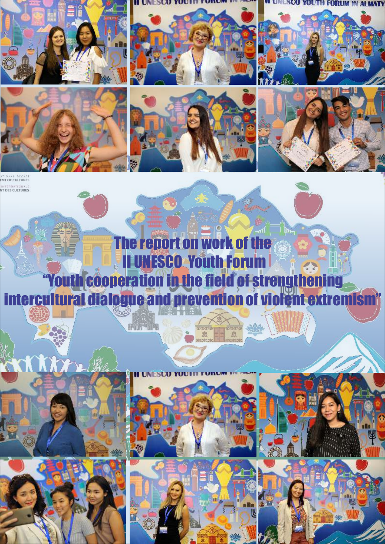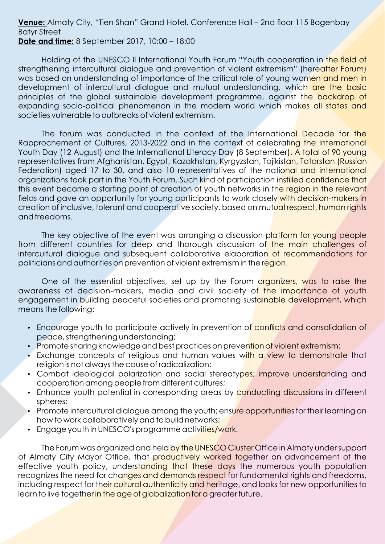#### **Venue:** Almaty City, "Tien Shan" Grand Hotel, Conference Hall – 2nd floor 115 Bogenbay Batyr Street **Date and time:** 8 September 2017, 10:00 – 18:00

Holding of the UNESCO II International Youth Forum "Youth cooperation in the field of strengthening intercultural dialogue and prevention of violent extremism" (hereafter Forum) was based on understanding of importance of the critical role of young women and men in development of intercultural dialogue and mutual understanding, which are the basic principles of the global sustainable development programme, against the backdrop of expanding socio-political phenomenon in the modern world which makes all states and societies vulnerable to outbreaks of violent extremism.

The forum was conducted in the context of the International Decade for the Rapprochement of Cultures, 2013-2022 and in the context of celebrating the International Youth Day (12 August) and the International Literacy Day (8 September). A total of 90 young representatives from Afghanistan, Egypt, Kazakhstan, Kyrgyzstan, Tajikistan, Tatarstan (Russian Federation) aged 17 to 30, and also 10 representatives of the national and international organizations took part in the Youth Forum. Such kind of participation instilled confidence that this event became a starting point of creation of youth networks in the region in the relevant fields and gave an opportunity for young participants to work closely with decision-makers in creation of inclusive, tolerant and cooperative society, based on mutual respect, human rights and freedoms.

The key objective of the event was arranging a discussion platform for young people from different countries for deep and thorough discussion of the main challenges of intercultural dialogue and subsequent collaborative elaboration of recommendations for politicians and authorities on prevention of violent extremism in the region.

One of the essential objectives, set up by the Forum organizers, was to raise the awareness of decision-makers, media and civil society of the importance of youth engagement in building peaceful societies and promoting sustainable development, which means the following:

- Encourage youth to participate actively in prevention of conflicts and consolidation of peace, strengthening understanding;
- Promote sharing knowledge and best practices on prevention of violent extremism;
- Exchange concepts of religious and human values with a view to demonstrate that religion is not always the cause of radicalization;
- Combat ideological polarization and social stereotypes; improve understanding and cooperation among people from different cultures;
- Enhance youth potential in corresponding areas by conducting discussions in different spheres;
- Promote intercultural dialogue among the youth; ensure opportunities for their learning on how to work collaboratively and to build networks;
- Engage youth in UNESCO's programme activities/work.

The Forum was organized and held by the UNESCO Cluster Office in Almaty under support of Almaty City Mayor Office, that productively worked together on advancement of the effective youth policy, understanding that these days the numerous youth population recognizes the need for changes and demands respect for fundamental rights and freedoms, including respect for their cultural authenticity and heritage, and looks for new opportunities to learn to live together in the age of globalization for a greater future.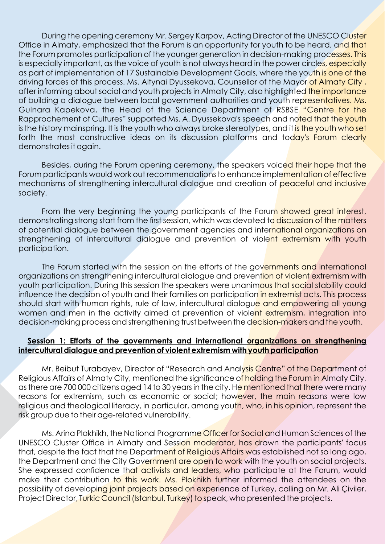During the opening ceremony Mr. Sergey Karpov, Acting Director of the UNESCO Cluster Office in Almaty, emphasized that the Forum is an opportunity for youth to be heard, and that the Forum promotes participation of the younger generation in decision-making processes. This is especially important, as the voice of youth is not always heard in the power circles, especially as part of implementation of 17 Sustainable Development Goals, where the youth is one of the driving forces of this process. Ms. Altynai Dyussekova, Counsellor of the Mayor of Almaty City, after informing about social and youth projects in Almaty City, also highlighted the importance of building a dialogue between local government authorities and youth representatives. Ms. Gulnara Kapekova, the Head of the Science Department of RSBSE "Centre for the Rapprochement of Cultures" supported Ms. A. Dyussekova's speech and noted that the youth is the history mainspring. It is the youth who always broke stereotypes, and it is the youth who set forth the most constructive ideas on its discussion platforms and today's Forum clearly demonstrates it again.

Besides, during the Forum opening ceremony, the speakers voiced their hope that the Forum participants would work out recommendations to enhance implementation of effective mechanisms of strengthening intercultural dialogue and creation of peaceful and inclusive society.

From the very beginning the young participants of the Forum showed great interest, demonstrating strong start from the first session, which was devoted to discussion of the matters of potential dialogue between the government agencies and international organizations on strengthening of intercultural dialogue and prevention of violent extremism with youth participation.

The Forum started with the session on the efforts of the governments and international organizations on strengthening intercultural dialogue and prevention of violent extremism with youth participation. During this session the speakers were unanimous that social stability could influence the decision of youth and their families on participation in extremist acts. This process should start with human rights, rule of law, intercultural dialogue and empowering all young women and men in the activity aimed at prevention of violent extremism, integration into decision-making process and strengthening trust between the decision-makers and the youth.

### **Session 1: Efforts of the governments and international organizations on strengthening intercultural dialogue and prevention of violent extremism with youth participation**

Mr. Beibut Turabayev, Director of "Research and Analysis Centre" of the Department of Religious Affairs of Almaty City, mentioned the significance of holding the Forum in Almaty City, as there are 700 000 citizens aged 14 to 30 years in the city. He mentioned that there were many reasons for extremism, such as economic or social; however, the main reasons were low religious and theological literacy, in particular, among youth, who, in his opinion, represent the risk group due to their age-related vulnerability.

Ms. Arina Plokhikh, the National Programme Officer for Social and Human Sciences of the UNESCO Cluster Office in Almaty and Session moderator, has drawn the participants' focus that, despite the fact that the Department of Religious Affairs was established not so long ago, the Department and the City Government are open to work with the youth on social projects. She expressed confidence that activists and leaders, who participate at the Forum, would make their contribution to this work. Ms. Plokhikh further informed the attendees on the possibility of developing joint projects based on experience of Turkey, calling on Mr. Ali Çiviler, Project Director, Turkic Council (Istanbul, Turkey) to speak, who presented the projects.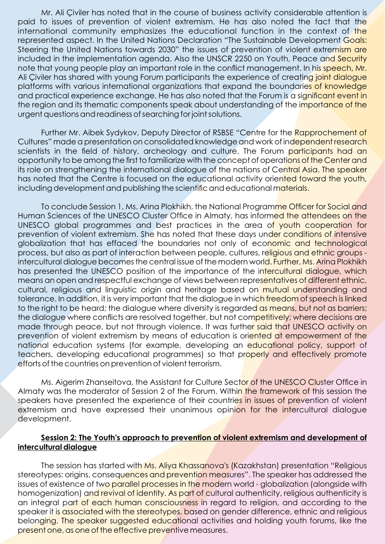Mr. Ali Çiviler has noted that in the course of business activity considerable attention is paid to issues of prevention of violent extremism. He has also noted the fact that the international community emphasizes the educational function in the context of the represented aspect. In the United Nations Declaration "The Sustainable Development Goals: Steering the United Nations towards 2030" the issues of prevention of violent extremism are included in the implementation agenda. Also the UNSCR 2250 on Youth, Peace and Security note that young people play an important role in the conflict management. In his speech, Mr. Ali Civiler has shared with young Forum participants the experience of creating joint dialogue platforms with various international organizations that expand the boundaries of knowledge and practical experience exchange. He has also noted that the Forum is a significant event in the region and its thematic components speak about understanding of the importance of the urgent questions and readiness of searching for joint solutions.

Further Mr. Aibek Sydykov, Deputy Director of RSBSE "Centre for the Rapprochement of Cultures" made a presentation on consolidated knowledge and work of independent research scientists in the field of history, archeology and culture. The Forum participants had an opportunity to be among the first to familiarize with the concept of operations of the Center and its role on strengthening the international dialogue of the nations of Central Asia. The speaker has noted that the Centre is focused on the educational activity oriented toward the youth, including development and publishing the scientific and educational materials.

To conclude Session 1, Ms. Arina Plokhikh, the National Programme Officer for Social and Human Sciences of the UNESCO Cluster Office in Almaty, has informed the attendees on the UNESCO global programmes and best practices in the area of youth cooperation for prevention of violent extremism. She has noted that these days under conditions of intensive globalization that has effaced the boundaries not only of economic and technological process, but also as part of interaction between people, cultures, religious and ethnic groups intercultural dialogue becomes the central issue of the modern world. Further, Ms. Arina Plokhikh has presented the UNESCO position of the importance of the intercultural dialogue, which means an open and respectful exchange of views between representatives of different ethnic, cultural, religious and linguistic origin and heritage based on mutual understanding and tolerance. In addition, it is very important that the dialogue in which freedom of speech is linked to the right to be heard; the dialogue where diversity is regarded as means, but not as barriers; the dialogue where conflicts are resolved together, but not competitively; where decisions are made through peace, but not through violence. It was further said that UNESCO activity on prevention of violent extremism by means of education is oriented at empowerment of the national education systems (for example, developing an educational policy, support of teachers, developing educational programmes) so that properly and effectively promote efforts of the countries on prevention of violent terrorism.

Ms. Aigerim Zhanseitova, the Assistant for Culture Sector of the UNESCO Cluster Office in Almaty was the moderator of Session 2 of the Forum. Within the framework of this session the speakers have presented the experience of their countries in issues of prevention of violent extremism and have expressed their unanimous opinion for the intercultural dialogue development.

#### **Session 2: The Youth's approach to prevention of violent extremism and development of intercultural dialogue**

The session has started with Ms. Aliya Khassanova's (Kazakhstan) presentation "Religious stereotypes: origins, consequences and prevention measures". The speaker has addressed the issues of existence of two parallel processes in the modern world - globalization (alongside with homogenization) and revival of identity. As part of cultural authenticity, religious authenticity is an integral part of each human consciousness in regard to religion, and according to the speaker it is associated with the stereotypes, based on gender difference, ethnic and religious belonging. The speaker suggested educational activities and holding youth forums, like the present one, as one of the effective preventive measures.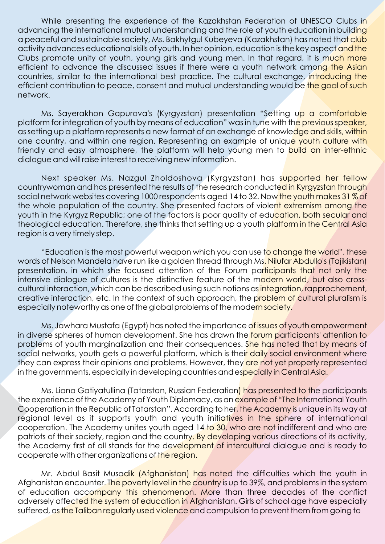While presenting the experience of the Kazakhstan Federation of UNESCO Clubs in advancing the international mutual understanding and the role of youth education in building a peaceful and sustainable society, Ms. Bakhytgul Kubeyeva (Kazakhstan) has noted that club activity advances educational skills of youth. In her opinion, education is the key aspect and the Clubs promote unity of youth, young girls and young men. In that regard, it is much more efficient to advance the discussed issues if there were a youth network among the Asian countries, similar to the international best practice. The cultural exchange, introducing the efficient contribution to peace, consent and mutual understanding would be the goal of such network.

Ms. Sayerakhon Gapurova's (Kyrgyzstan) presentation "Setting up a comfortable platform for integration of youth by means of education" was in tune with the previous speaker, as setting up a platform represents a new format of an exchange of knowledge and skills, within one country, and within one region. Representing an example of unique youth culture with friendly and easy atmosphere, the platform will help young men to build an inter-ethnic dialogue and will raise interest to receiving new information.

Next speaker Ms. Nazgul Zholdoshova (Kyrgyzstan) has supported her fellow countrywoman and has presented the results of the research conducted in Kyrgyzstan through social network websites covering 1000 respondents aged 14 to 32. Now the youth makes 31 % of the whole population of the country. She presented factors of violent extremism among the youth in the Kyrgyz Republic; one of the factors is poor quality of education, both secular and theological education. Therefore, she thinks that setting up a youth platform in the Central Asia region is a very timely step.

"Education is the most powerful weapon which you can use to change the world", these words of Nelson Mandela have run like a golden thread through Ms. Nilufar Abdullo's (Tajikistan) presentation, in which she focused attention of the Forum participants that not only the intensive dialogue of cultures is the distinctive feature of the modern world, but also crosscultural interaction, which can be described using such notions as integration, rapprochement, creative interaction, etc. In the context of such approach, the problem of cultural pluralism is especially noteworthy as one of the global problems of the modern society.

Ms. Jawhara Mustafa (Egypt) has noted the importance of issues of youth empowerment in diverse spheres of human development. She has drawn the **forum participants' attention to** problems of youth marginalization and their consequences. She has noted that by means of social networks, youth gets a powerful platform, which is their daily social environment where they can express their opinions and problems. However, they are not yet properly represented in the governments, especially in developing countries and especially in Central Asia.

Ms. Liana Gatiyatullina (Tatarstan, Russian Federation) has presented to the participants the experience of the Academy of Youth Diplomacy, as an example of "The International Youth Cooperation in the Republic of Tatarstan". According to her, the Academy is unique in its way at regional level as it supports youth and youth initiatives in the sphere of international cooperation. The Academy unites youth aged 14 to 30, who are not indifferent and who are patriots of their society, region and the country. By developing various directions of its activity, the Academy first of all stands for the development of intercultural dialogue and is ready to cooperate with other organizations of the region.

Mr. Abdul Basit Musadik (Afghanistan) has noted the difficulties which the youth in Afghanistan encounter. The poverty level in the country is up to 39%, and problems in the system of education accompany this phenomenon. More than three decades of the conflict adversely affected the system of education in Afghanistan. Girls of school age have especially suffered, as the Taliban regularly used violence and compulsion to prevent them from going to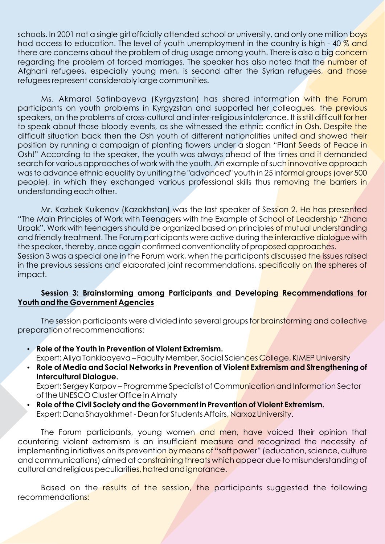schools. In 2001 not a single girl officially attended school or university, and only one million boys had access to education. The level of youth unemployment in the country is high - 40 % and there are concerns about the problem of drug usage among youth. There is also a big concern regarding the problem of forced marriages. The speaker has also noted that the number of Afghani refugees, especially young men, is second after the Syrian refugees, and those refugees represent considerably large communities.

Ms. Akmaral Satinbayeva (Kyrgyzstan) has shared information with the Forum participants on youth problems in Kyrgyzstan and supported her colleagues, the previous speakers, on the problems of cross-cultural and inter-religious intolerance. It is still difficult for her to speak about those bloody events, as she witnessed the ethnic conflict in Osh. Despite the difficult situation back then the Osh youth of different nationalities united and showed their position by running a campaign of planting flowers under a slogan "Plant Seeds of Peace in Osh!" According to the speaker, the youth was always ahead of the times and it demanded search for various approaches of work with the youth. An example of such innovative approach was to advance ethnic equality by uniting the "advanced" youth in 25 informal groups (over 500 people), in which they exchanged various professional skills thus removing the barriers in understanding each other.

Mr. Kazbek Kuikenov (Kazakhstan) was the last speaker of Session 2. He has presented "The Main Principles of Work with Teenagers with the Example of School of Leadership "Zhana Urpak". Work with teenagers should be organized based on principles of mutual understanding and friendly treatment. The Forum participants were active during the interactive dialogue with the speaker, thereby, once again confirmed conventionality of proposed approaches. Session 3 was a special one in the Forum work, when the participants discussed the issues raised in the previous sessions and elaborated joint recommendations, specifically on the spheres of

#### **Session 3: Brainstorming among Participants and Developing Recommendations for Youth and the Government Agencies**

impact.

The session participants were divided into several groups for brainstorming and collective preparation of recommendations:

- џ **Role of the Youth in Prevention of Violent Extremism.** Expert: Aliya Tankibayeva – Faculty Member, Social Sciences College, KIMEP University
- џ **Role of Media and Social Networks in Prevention of Violent Extremism and Strengthening of Intercultural Dialogue.** Expert: Sergey Karpov – Programme Specialist of Communication and Information Sector

of the UNESCO Cluster Office in Almaty

џ **Role of the Civil Society and the Government in Prevention of Violent Extremism. Expert: Dana Shayakhmet - Dean for Students Affairs, Narxoz University.** 

The Forum participants, young women and men, have voiced their opinion that countering violent extremism is an insufficient measure and recognized the necessity of implementing initiatives on its prevention by means of "soft power" (education, science, culture and communications) aimed at constraining threats which appear due to misunderstanding of cultural and religious peculiarities, hatred and ignorance.

Based on the results of the session, the participants suggested the following recommendations: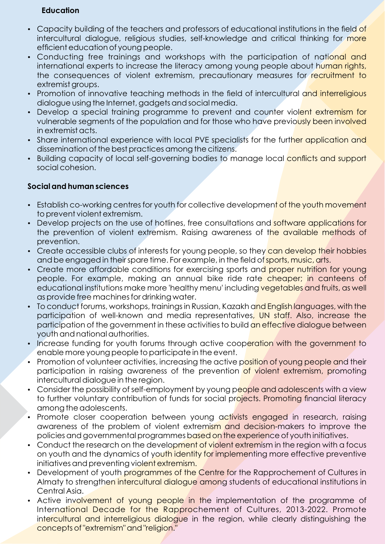#### **Education**

- Capacity building of the teachers and professors of educational institutions in the field of intercultural dialogue, religious studies, self-knowledge and critical thinking for more efficient education of young people.
- Conducting free trainings and workshops with the participation of national and international experts to increase the literacy among young people about human rights, the consequences of violent extremism, precautionary measures for recruitment to extremist groups.
- Promotion of innovative teaching methods in the field of intercultural and interreligious dialogue using the Internet, gadgets and social media.
- Develop a special training programme to prevent and counter violent extremism for vulnerable segments of the population and for those who have previously been involved in extremist acts.
- Share international experience with local PVE specialists for the further application and dissemination of the best practices among the citizens.
- Building capacity of local self-governing bodies to manage local conflicts and support social cohesion.

# **Social and human sciences**

- Establish co-working centres for youth for collective development of the youth movement to prevent violent extremism.
- Develop projects on the use of hotlines, free consultations and software applications for the prevention of violent extremism. Raising awareness of the available methods of prevention.
- Create accessible clubs of interests for young people, so they can develop their hobbies and be engaged in their spare time. For example, in the field of sports, music, arts.
- Create more affordable conditions for exercising sports and proper nutrition for young people. For example, making an annual bike ride rate cheaper; in canteens of educational institutions make more 'healthy menu' including vegetables and fruits, as well as provide free machines for drinking water.
- To conduct forums, workshops, trainings in Russian, Kazakh and English languages, with the participation of well-known and media representatives, UN staff. Also, increase the participation of the government in these activities to build an effective dialogue between youth and national authorities.
- Increase funding for youth forums through active cooperation with the government to enable more young people to participate in the event.
- Promotion of volunteer activities, increasing the active position of young people and their participation in raising awareness of the prevention of violent extremism, promoting intercultural dialogue in the region.
- Consider the possibility of self-employment by young people and adolescents with a view to further voluntary contribution of funds for social projects. Promoting financial literacy among the adolescents.
- Promote closer cooperation between young activists engaged in research, raising awareness of the problem of violent extremism and decision-makers to improve the policies and governmental programmes based on the experience of youth initiatives.
- Conduct the research on the development of violent extremism in the region with a focus on youth and the dynamics of youth identity for implementing more effective preventive initiatives and preventing violent extremism.
- Development of youth programmes of the Centre for the Rapprochement of Cultures in Almaty to strengthen intercultural dialogue among students of educational institutions in Central Asia.
- Active involvement of young people in the implementation of the programme of International Decade for the Rapprochement of Cultures, 2013-2022. Promote intercultural and interreligious dialogue in the region, while clearly distinguishing the concepts of "extremism" and "religion."